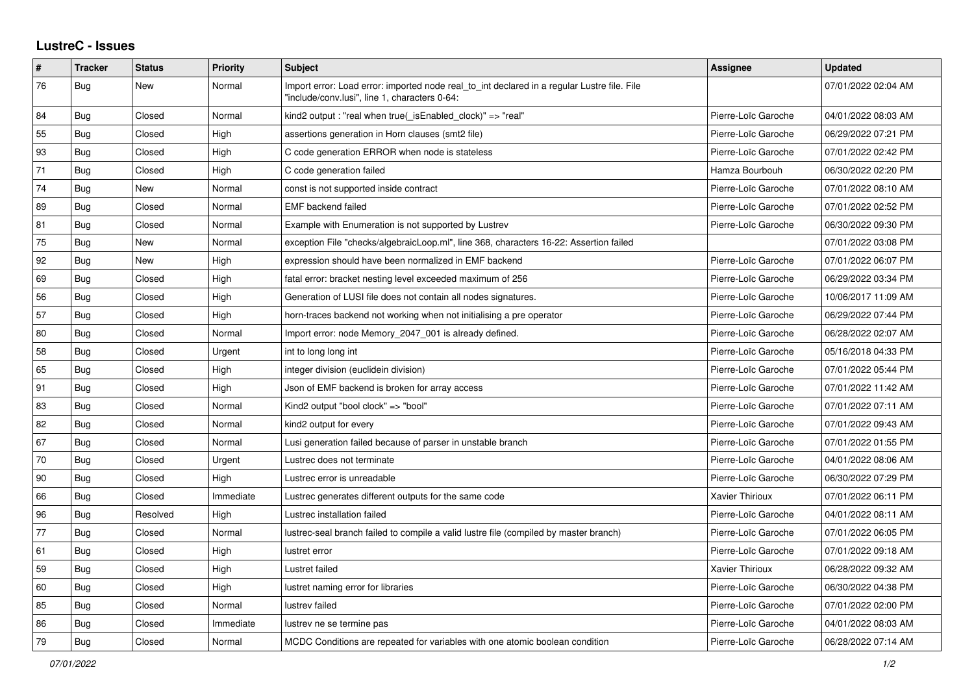## **LustreC - Issues**

| #  | <b>Tracker</b> | <b>Status</b> | <b>Priority</b> | <b>Subject</b>                                                                                                                               | <b>Assignee</b>     | <b>Updated</b>      |
|----|----------------|---------------|-----------------|----------------------------------------------------------------------------------------------------------------------------------------------|---------------------|---------------------|
| 76 | <b>Bug</b>     | New           | Normal          | Import error: Load error: imported node real to int declared in a regular Lustre file. File<br>"include/conv.lusi", line 1, characters 0-64: |                     | 07/01/2022 02:04 AM |
| 84 | <b>Bug</b>     | Closed        | Normal          | kind2 output : "real when true(_isEnabled_clock)" => "real"                                                                                  | Pierre-Loïc Garoche | 04/01/2022 08:03 AM |
| 55 | <b>Bug</b>     | Closed        | High            | assertions generation in Horn clauses (smt2 file)                                                                                            | Pierre-Loïc Garoche | 06/29/2022 07:21 PM |
| 93 | <b>Bug</b>     | Closed        | High            | C code generation ERROR when node is stateless                                                                                               | Pierre-Loïc Garoche | 07/01/2022 02:42 PM |
| 71 | <b>Bug</b>     | Closed        | High            | C code generation failed                                                                                                                     | Hamza Bourbouh      | 06/30/2022 02:20 PM |
| 74 | <b>Bug</b>     | <b>New</b>    | Normal          | const is not supported inside contract                                                                                                       | Pierre-Loïc Garoche | 07/01/2022 08:10 AM |
| 89 | <b>Bug</b>     | Closed        | Normal          | <b>EMF</b> backend failed                                                                                                                    | Pierre-Loïc Garoche | 07/01/2022 02:52 PM |
| 81 | <b>Bug</b>     | Closed        | Normal          | Example with Enumeration is not supported by Lustrev                                                                                         | Pierre-Loïc Garoche | 06/30/2022 09:30 PM |
| 75 | <b>Bug</b>     | New           | Normal          | exception File "checks/algebraicLoop.ml", line 368, characters 16-22: Assertion failed                                                       |                     | 07/01/2022 03:08 PM |
| 92 | <b>Bug</b>     | New           | High            | expression should have been normalized in EMF backend                                                                                        | Pierre-Loïc Garoche | 07/01/2022 06:07 PM |
| 69 | <b>Bug</b>     | Closed        | High            | fatal error: bracket nesting level exceeded maximum of 256                                                                                   | Pierre-Loïc Garoche | 06/29/2022 03:34 PM |
| 56 | Bug            | Closed        | High            | Generation of LUSI file does not contain all nodes signatures.                                                                               | Pierre-Loïc Garoche | 10/06/2017 11:09 AM |
| 57 | <b>Bug</b>     | Closed        | High            | horn-traces backend not working when not initialising a pre operator                                                                         | Pierre-Loïc Garoche | 06/29/2022 07:44 PM |
| 80 | <b>Bug</b>     | Closed        | Normal          | Import error: node Memory_2047_001 is already defined.                                                                                       | Pierre-Loïc Garoche | 06/28/2022 02:07 AM |
| 58 | Bug            | Closed        | Urgent          | int to long long int                                                                                                                         | Pierre-Loïc Garoche | 05/16/2018 04:33 PM |
| 65 | Bug            | Closed        | High            | integer division (euclidein division)                                                                                                        | Pierre-Loïc Garoche | 07/01/2022 05:44 PM |
| 91 | Bug            | Closed        | High            | Json of EMF backend is broken for array access                                                                                               | Pierre-Loïc Garoche | 07/01/2022 11:42 AM |
| 83 | Bug            | Closed        | Normal          | Kind2 output "bool clock" => "bool"                                                                                                          | Pierre-Loïc Garoche | 07/01/2022 07:11 AM |
| 82 | <b>Bug</b>     | Closed        | Normal          | kind2 output for every                                                                                                                       | Pierre-Loïc Garoche | 07/01/2022 09:43 AM |
| 67 | Bug            | Closed        | Normal          | Lusi generation failed because of parser in unstable branch                                                                                  | Pierre-Loïc Garoche | 07/01/2022 01:55 PM |
| 70 | Bug            | Closed        | Urgent          | Lustrec does not terminate                                                                                                                   | Pierre-Loïc Garoche | 04/01/2022 08:06 AM |
| 90 | <b>Bug</b>     | Closed        | High            | Lustrec error is unreadable                                                                                                                  | Pierre-Loïc Garoche | 06/30/2022 07:29 PM |
| 66 | <b>Bug</b>     | Closed        | Immediate       | Lustrec generates different outputs for the same code                                                                                        | Xavier Thirioux     | 07/01/2022 06:11 PM |
| 96 | Bug            | Resolved      | High            | Lustrec installation failed                                                                                                                  | Pierre-Loïc Garoche | 04/01/2022 08:11 AM |
| 77 | Bug            | Closed        | Normal          | lustrec-seal branch failed to compile a valid lustre file (compiled by master branch)                                                        | Pierre-Loïc Garoche | 07/01/2022 06:05 PM |
| 61 | Bug            | Closed        | High            | lustret error                                                                                                                                | Pierre-Loïc Garoche | 07/01/2022 09:18 AM |
| 59 | Bug            | Closed        | High            | Lustret failed                                                                                                                               | Xavier Thirioux     | 06/28/2022 09:32 AM |
| 60 | <b>Bug</b>     | Closed        | High            | lustret naming error for libraries                                                                                                           | Pierre-Loïc Garoche | 06/30/2022 04:38 PM |
| 85 | <b>Bug</b>     | Closed        | Normal          | lustrev failed                                                                                                                               | Pierre-Loïc Garoche | 07/01/2022 02:00 PM |
| 86 | Bug            | Closed        | Immediate       | lustrev ne se termine pas                                                                                                                    | Pierre-Loïc Garoche | 04/01/2022 08:03 AM |
| 79 | Bug            | Closed        | Normal          | MCDC Conditions are repeated for variables with one atomic boolean condition                                                                 | Pierre-Loïc Garoche | 06/28/2022 07:14 AM |